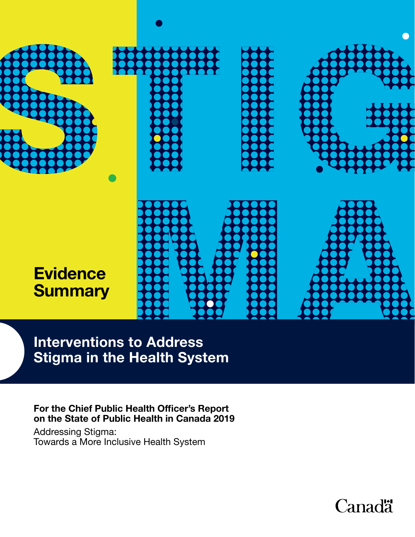

Interventions to Address Stigma in the Health System

For the Chief Public Health Officer's Report on the State of Public Health in Canada 2019

Addressing Stigma: Towards a More Inclusive Health System

**Canadä**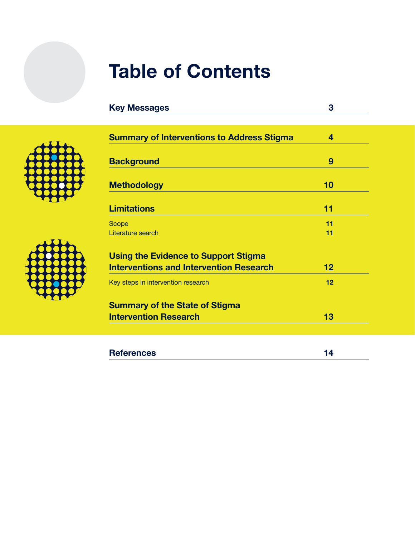# Table of Contents

| <b>Key Messages</b>                               | 3  |  |
|---------------------------------------------------|----|--|
|                                                   |    |  |
| <b>Summary of Interventions to Address Stigma</b> | 4  |  |
| <b>Background</b>                                 | 9  |  |
| <b>Methodology</b>                                | 10 |  |
| <b>Limitations</b>                                | 11 |  |
| Scope                                             | 11 |  |
| Literature search                                 | 11 |  |
| <b>Using the Evidence to Support Stigma</b>       |    |  |
| <b>Interventions and Intervention Research</b>    | 12 |  |
| Key steps in intervention research                | 12 |  |
| <b>Summary of the State of Stigma</b>             |    |  |
| <b>Intervention Research</b>                      | 13 |  |
|                                                   |    |  |
|                                                   |    |  |
| <b>References</b>                                 | 14 |  |

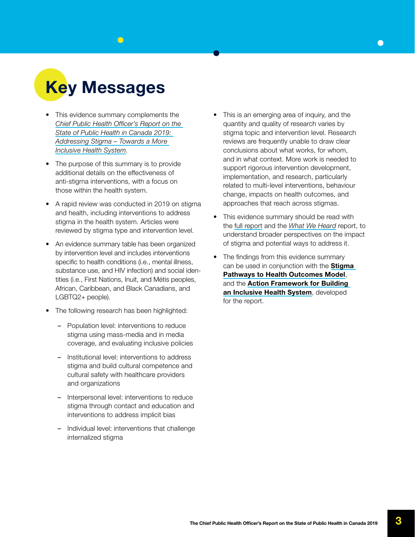<span id="page-2-0"></span>

- This evidence summary complements the *[Chief Public Health Officer's Report on the](https://www.canada.ca/en/public-health/corporate/publications/chief-public-health-officer-reports-state-public-health-canada/addressing-stigma-toward-more-inclusive-health-system.html)  [State of Public Health in Canada 2019:](https://www.canada.ca/en/public-health/corporate/publications/chief-public-health-officer-reports-state-public-health-canada/addressing-stigma-toward-more-inclusive-health-system.html)  [Addressing Stigma – Towards a More](https://www.canada.ca/en/public-health/corporate/publications/chief-public-health-officer-reports-state-public-health-canada/addressing-stigma-toward-more-inclusive-health-system.html)  [Inclusive Health System](https://www.canada.ca/en/public-health/corporate/publications/chief-public-health-officer-reports-state-public-health-canada/addressing-stigma-toward-more-inclusive-health-system.html).*
- The purpose of this summary is to provide additional details on the effectiveness of anti-stigma interventions, with a focus on those within the health system.
- A rapid review was conducted in 2019 on stigma and health, including interventions to address stigma in the health system. Articles were reviewed by stigma type and intervention level.
- An evidence summary table has been organized by intervention level and includes interventions specific to health conditions (i.e., mental illness, substance use, and HIV infection) and social identities (i.e., First Nations, Inuit, and Métis peoples, African, Caribbean, and Black Canadians, and LGBTQ2+ people).
- The following research has been highlighted:
	- Population level: interventions to reduce stigma using mass-media and in media coverage, and evaluating inclusive policies
	- Institutional level: interventions to address stigma and build cultural competence and cultural safety with healthcare providers and organizations
	- Interpersonal level: interventions to reduce stigma through contact and education and interventions to address implicit bias
	- Individual level: interventions that challenge internalized stigma
- This is an emerging area of inquiry, and the quantity and quality of research varies by stigma topic and intervention level. Research reviews are frequently unable to draw clear conclusions about what works, for whom, and in what context. More work is needed to support rigorous intervention development, implementation, and research, particularly related to multi-level interventions, behaviour change, impacts on health outcomes, and approaches that reach across stigmas.
- This evidence summary should be read with the [full report](https://www.canada.ca/en/public-health/corporate/publications/chief-public-health-officer-reports-state-public-health-canada/addressing-stigma-toward-more-inclusive-health-system.html) and the *[What We Heard](https://www.canada.ca/en/public-health/corporate/publications/chief-public-health-officer-reports-state-public-health-canada/addressing-stigma-what-we-heard.html)* report, to understand broader perspectives on the impact of stigma and potential ways to address it.
- The findings from this evidence summary can be used in conjunction with the **Stigma** [Pathways to Health Outcomes Model](https://www.canada.ca/en/public-health/corporate/publications/chief-public-health-officer-reports-state-public-health-canada/addressing-stigma-toward-more-inclusive-health-system.html#a4.2), and the Action Framework for Building [an Inclusive Health System](https://www.canada.ca/en/public-health/corporate/publications/chief-public-health-officer-reports-state-public-health-canada/addressing-stigma-action-framework-infographic.html), developed for the report.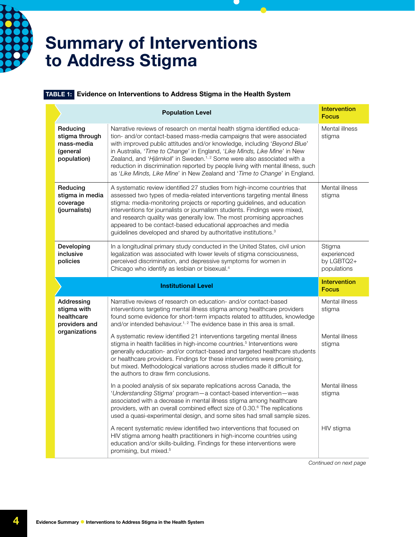<span id="page-3-0"></span>

### Summary of Interventions to Address Stigma

#### TABLE 1: Evidence on Interventions to Address Stigma in the Health System

|                                                                     | <b>Population Level</b>                                                                                                                                                                                                                                                                                                                                                                                                                                                                                                                                          | <b>Intervention</b><br><b>Focus</b>                |
|---------------------------------------------------------------------|------------------------------------------------------------------------------------------------------------------------------------------------------------------------------------------------------------------------------------------------------------------------------------------------------------------------------------------------------------------------------------------------------------------------------------------------------------------------------------------------------------------------------------------------------------------|----------------------------------------------------|
| Reducing<br>stigma through<br>mass-media<br>(general<br>population) | Narrative reviews of research on mental health stigma identified educa-<br>tion- and/or contact-based mass-media campaigns that were associated<br>with improved public attitudes and/or knowledge, including 'Beyond Blue'<br>in Australia, 'Time to Change' in England, 'Like Minds, Like Mine' in New<br>Zealand, and 'Hjärnkoll' in Sweden. <sup>1,2</sup> Some were also associated with a<br>reduction in discrimination reported by people living with mental illness, such<br>as 'Like Minds, Like Mine' in New Zealand and 'Time to Change' in England. | Mental illness<br>stigma                           |
| Reducing<br>stigma in media<br>coverage<br>(journalists)            | A systematic review identified 27 studies from high-income countries that<br>assessed two types of media-related interventions targeting mental illness<br>stigma: media-monitoring projects or reporting guidelines, and education<br>interventions for journalists or journalism students. Findings were mixed,<br>and research quality was generally low. The most promising approaches<br>appeared to be contact-based educational approaches and media<br>guidelines developed and shared by authoritative institutions. <sup>3</sup>                       | Mental illness<br>stigma                           |
| Developing<br>inclusive<br>policies                                 | In a longitudinal primary study conducted in the United States, civil union<br>legalization was associated with lower levels of stigma consciousness,<br>perceived discrimination, and depressive symptoms for women in<br>Chicago who identify as lesbian or bisexual. <sup>4</sup>                                                                                                                                                                                                                                                                             | Stigma<br>experienced<br>by LGBTQ2+<br>populations |
|                                                                     |                                                                                                                                                                                                                                                                                                                                                                                                                                                                                                                                                                  | <b>Intervention</b>                                |
|                                                                     | <b>Institutional Level</b>                                                                                                                                                                                                                                                                                                                                                                                                                                                                                                                                       | <b>Focus</b>                                       |
| Addressing<br>stigma with<br>healthcare<br>providers and            | Narrative reviews of research on education- and/or contact-based<br>interventions targeting mental illness stigma among healthcare providers<br>found some evidence for short-term impacts related to attitudes, knowledge<br>and/or intended behaviour. <sup>1, 2</sup> The evidence base in this area is small.                                                                                                                                                                                                                                                | Mental illness<br>stigma                           |
| organizations                                                       | A systematic review identified 21 interventions targeting mental illness<br>stigma in health facilities in high-income countries. <sup>5</sup> Interventions were<br>generally education- and/or contact-based and targeted healthcare students<br>or healthcare providers. Findings for these interventions were promising,<br>but mixed. Methodological variations across studies made it difficult for<br>the authors to draw firm conclusions.                                                                                                               | Mental illness<br>stigma                           |
|                                                                     | In a pooled analysis of six separate replications across Canada, the<br>'Understanding Stigma' program-a contact-based intervention-was<br>associated with a decrease in mental illness stigma among healthcare<br>providers, with an overall combined effect size of 0.30. <sup>6</sup> The replications<br>used a quasi-experimental design, and some sites had small sample sizes.                                                                                                                                                                            | Mental illness<br>stigma                           |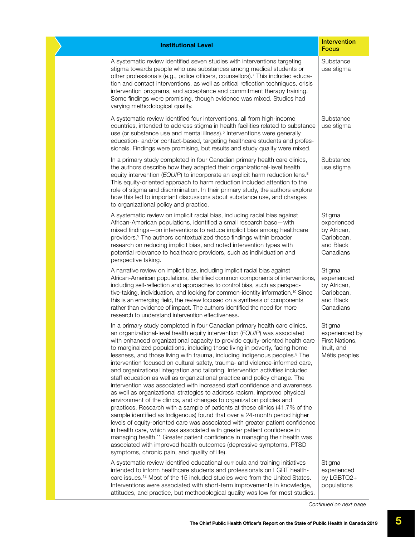| <b>Institutional Level</b>                                                                                                                                                                                                                                                                                                                                                                                                                                                                                                                                                                                                                                                                                                                                                                                                                                                                                                                                                                                                                                                                                                                                                                                                                                                                                                                                                                                                                    | <b>Intervention</b><br><b>Focus</b>                                          |
|-----------------------------------------------------------------------------------------------------------------------------------------------------------------------------------------------------------------------------------------------------------------------------------------------------------------------------------------------------------------------------------------------------------------------------------------------------------------------------------------------------------------------------------------------------------------------------------------------------------------------------------------------------------------------------------------------------------------------------------------------------------------------------------------------------------------------------------------------------------------------------------------------------------------------------------------------------------------------------------------------------------------------------------------------------------------------------------------------------------------------------------------------------------------------------------------------------------------------------------------------------------------------------------------------------------------------------------------------------------------------------------------------------------------------------------------------|------------------------------------------------------------------------------|
| A systematic review identified seven studies with interventions targeting<br>stigma towards people who use substances among medical students or<br>other professionals (e.g., police officers, counsellors). <sup>7</sup> This included educa-<br>tion and contact interventions, as well as critical reflection techniques, crisis<br>intervention programs, and acceptance and commitment therapy training.<br>Some findings were promising, though evidence was mixed. Studies had<br>varying methodological quality.                                                                                                                                                                                                                                                                                                                                                                                                                                                                                                                                                                                                                                                                                                                                                                                                                                                                                                                      | Substance<br>use stigma                                                      |
| A systematic review identified four interventions, all from high-income<br>countries, intended to address stigma in health facilities related to substance<br>use (or substance use and mental illness). <sup>5</sup> Interventions were generally<br>education- and/or contact-based, targeting healthcare students and profes-<br>sionals. Findings were promising, but results and study quality were mixed.                                                                                                                                                                                                                                                                                                                                                                                                                                                                                                                                                                                                                                                                                                                                                                                                                                                                                                                                                                                                                               | Substance<br>use stigma                                                      |
| In a primary study completed in four Canadian primary health care clinics,<br>the authors describe how they adapted their organizational-level health<br>equity intervention (EQUIP) to incorporate an explicit harm reduction lens. <sup>8</sup><br>This equity-oriented approach to harm reduction included attention to the<br>role of stigma and discrimination. In their primary study, the authors explore<br>how this led to important discussions about substance use, and changes<br>to organizational policy and practice.                                                                                                                                                                                                                                                                                                                                                                                                                                                                                                                                                                                                                                                                                                                                                                                                                                                                                                          | Substance<br>use stigma                                                      |
| A systematic review on implicit racial bias, including racial bias against<br>African-American populations, identified a small research base-with<br>mixed findings-on interventions to reduce implicit bias among healthcare<br>providers. <sup>9</sup> The authors contextualized these findings within broader<br>research on reducing implicit bias, and noted intervention types with<br>potential relevance to healthcare providers, such as individuation and<br>perspective taking.                                                                                                                                                                                                                                                                                                                                                                                                                                                                                                                                                                                                                                                                                                                                                                                                                                                                                                                                                   | Stigma<br>experienced<br>by African,<br>Caribbean,<br>and Black<br>Canadians |
| A narrative review on implicit bias, including implicit racial bias against<br>African-American populations, identified common components of interventions,<br>including self-reflection and approaches to control bias, such as perspec-<br>tive-taking, individuation, and looking for common-identity information. <sup>10</sup> Since<br>this is an emerging field, the review focused on a synthesis of components<br>rather than evidence of impact. The authors identified the need for more<br>research to understand intervention effectiveness.                                                                                                                                                                                                                                                                                                                                                                                                                                                                                                                                                                                                                                                                                                                                                                                                                                                                                     | Stigma<br>experienced<br>by African,<br>Caribbean,<br>and Black<br>Canadians |
| In a primary study completed in four Canadian primary health care clinics,<br>an organizational-level health equity intervention (EQUIP) was associated<br>with enhanced organizational capacity to provide equity-oriented health care<br>to marginalized populations, including those living in poverty, facing home-<br>lessness, and those living with trauma, including Indigenous peoples. <sup>8</sup> The<br>intervention focused on cultural safety, trauma- and violence-informed care,<br>and organizational integration and tailoring. Intervention activities included<br>staff education as well as organizational practice and policy change. The<br>intervention was associated with increased staff confidence and awareness<br>as well as organizational strategies to address racism, improved physical<br>environment of the clinics, and changes to organization policies and<br>practices. Research with a sample of patients at these clinics (41.7% of the<br>sample identified as Indigenous) found that over a 24-month period higher<br>levels of equity-oriented care was associated with greater patient confidence<br>in health care, which was associated with greater patient confidence in<br>managing health. <sup>11</sup> Greater patient confidence in managing their health was<br>associated with improved health outcomes (depressive symptoms, PTSD<br>symptoms, chronic pain, and quality of life). | Stigma<br>experienced by<br>First Nations,<br>Inuit, and<br>Métis peoples    |
| A systematic review identified educational curricula and training initiatives<br>intended to inform healthcare students and professionals on LGBT health-<br>care issues. <sup>12</sup> Most of the 15 included studies were from the United States.<br>Interventions were associated with short-term improvements in knowledge,<br>attitudes, and practice, but methodological quality was low for most studies.                                                                                                                                                                                                                                                                                                                                                                                                                                                                                                                                                                                                                                                                                                                                                                                                                                                                                                                                                                                                                             | Stigma<br>experienced<br>by LGBTQ2+<br>populations                           |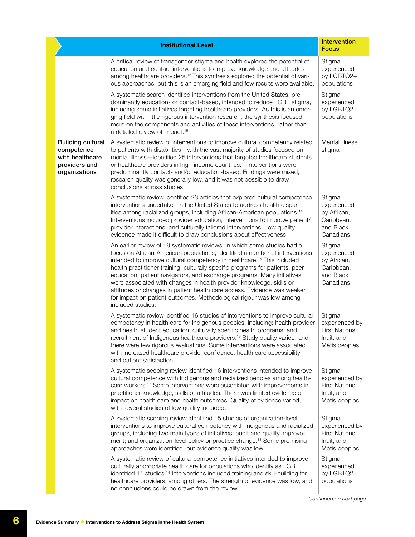|                                                                                             | <b>Institutional Level</b>                                                                                                                                                                                                                                                                                                                                                                                                                                                                                                                                                                                                                             | <b>Intervention</b><br><b>Focus</b>                                          |
|---------------------------------------------------------------------------------------------|--------------------------------------------------------------------------------------------------------------------------------------------------------------------------------------------------------------------------------------------------------------------------------------------------------------------------------------------------------------------------------------------------------------------------------------------------------------------------------------------------------------------------------------------------------------------------------------------------------------------------------------------------------|------------------------------------------------------------------------------|
|                                                                                             | A critical review of transgender stigma and health explored the potential of<br>education and contact interventions to improve knowledge and attitudes<br>among healthcare providers. <sup>13</sup> This synthesis explored the potential of vari-<br>ous approaches, but this is an emerging field and few results were available.                                                                                                                                                                                                                                                                                                                    | Stigma<br>experienced<br>by LGBTQ2+<br>populations                           |
|                                                                                             | A systematic search identified interventions from the United States, pre-<br>dominantly education- or contact-based, intended to reduce LGBT stigma,<br>including some initiatives targeting healthcare providers. As this is an emer-<br>ging field with little rigorous intervention research, the synthesis focused<br>more on the components and activities of these interventions, rather than<br>a detailed review of impact. <sup>19</sup>                                                                                                                                                                                                      | Stigma<br>experienced<br>by LGBTQ2+<br>populations                           |
| <b>Building cultural</b><br>competence<br>with healthcare<br>providers and<br>organizations | A systematic review of interventions to improve cultural competency related<br>to patients with disabilities - with the vast majority of studies focused on<br>mental illness-identified 25 interventions that targeted healthcare students<br>or healthcare providers in high-income countries. <sup>14</sup> Interventions were<br>predominantly contact- and/or education-based. Findings were mixed,<br>research quality was generally low, and it was not possible to draw<br>conclusions across studies.                                                                                                                                         | Mental illness<br>stigma                                                     |
|                                                                                             | A systematic review identified 23 articles that explored cultural competence<br>interventions undertaken in the United States to address health dispar-<br>ities among racialized groups, including African-American populations. <sup>14</sup><br>Interventions included provider education, interventions to improve patient/<br>provider interactions, and culturally tailored interventions. Low quality<br>evidence made it difficult to draw conclusions about effectiveness.                                                                                                                                                                    | Stigma<br>experienced<br>by African,<br>Caribbean,<br>and Black<br>Canadians |
|                                                                                             | An earlier review of 19 systematic reviews, in which some studies had a<br>focus on African-American populations, identified a number of interventions<br>intended to improve cultural competency in healthcare. <sup>15</sup> This included<br>health practitioner training, culturally specific programs for patients, peer<br>education, patient navigators, and exchange programs. Many initiatives<br>were associated with changes in health provider knowledge, skills or<br>attitudes or changes in patient health care access. Evidence was weaker<br>for impact on patient outcomes. Methodological rigour was low among<br>included studies. | Stigma<br>experienced<br>by African,<br>Caribbean,<br>and Black<br>Canadians |
|                                                                                             | A systematic review identified 16 studies of interventions to improve cultural<br>competency in health care for Indigenous peoples, including: health provider<br>and health student education; culturally specific health programs; and<br>recruitment of Indigenous healthcare providers. <sup>16</sup> Study quality varied, and<br>there were few rigorous evaluations. Some interventions were associated<br>with increased healthcare provider confidence, health care accessibility<br>and patient satisfaction.                                                                                                                                | Stigma<br>experienced by<br>First Nations,<br>Inuit, and<br>Métis peoples    |
|                                                                                             | A systematic scoping review identified 16 interventions intended to improve<br>cultural competence with Indigenous and racialized peoples among health-<br>care workers. <sup>17</sup> Some interventions were associated with improvements in<br>practitioner knowledge, skills or attitudes. There was limited evidence of<br>impact on health care and health outcomes. Quality of evidence varied,<br>with several studies of low quality included.                                                                                                                                                                                                | Stigma<br>experienced by<br>First Nations,<br>Inuit, and<br>Métis peoples    |
|                                                                                             | A systematic scoping review identified 15 studies of organization-level<br>interventions to improve cultural competency with Indigenous and racialized<br>groups, including two main types of initiatives: audit and quality improve-<br>ment; and organization-level policy or practice change. <sup>18</sup> Some promising<br>approaches were identified, but evidence quality was low.                                                                                                                                                                                                                                                             | Stigma<br>experienced by<br>First Nations,<br>Inuit, and<br>Métis peoples    |
|                                                                                             | A systematic review of cultural competence initiatives intended to improve<br>culturally appropriate health care for populations who identify as LGBT<br>identified 11 studies. <sup>14</sup> Interventions included training and skill-building for<br>healthcare providers, among others. The strength of evidence was low, and<br>no conclusions could be drawn from the review.                                                                                                                                                                                                                                                                    | Stigma<br>experienced<br>by LGBTQ2+<br>populations                           |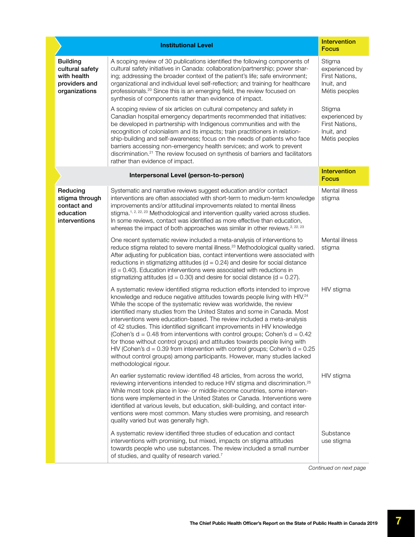|                                                                                     | <b>Institutional Level</b>                                                                                                                                                                                                                                                                                                                                                                                                                                                                                                                                                                                                                                                                                                                                                                                                              | <b>Intervention</b><br><b>Focus</b>                                       |  |
|-------------------------------------------------------------------------------------|-----------------------------------------------------------------------------------------------------------------------------------------------------------------------------------------------------------------------------------------------------------------------------------------------------------------------------------------------------------------------------------------------------------------------------------------------------------------------------------------------------------------------------------------------------------------------------------------------------------------------------------------------------------------------------------------------------------------------------------------------------------------------------------------------------------------------------------------|---------------------------------------------------------------------------|--|
| <b>Building</b><br>cultural safety<br>with health<br>providers and<br>organizations | A scoping review of 30 publications identified the following components of<br>cultural safety initiatives in Canada: collaboration/partnership; power shar-<br>ing; addressing the broader context of the patient's life; safe environment;<br>organizational and individual level self-reflection; and training for healthcare<br>professionals. <sup>20</sup> Since this is an emerging field, the review focused on<br>synthesis of components rather than evidence of impact.                                                                                                                                                                                                                                                                                                                                                       | Stigma<br>experienced by<br>First Nations,<br>Inuit, and<br>Métis peoples |  |
|                                                                                     | A scoping review of six articles on cultural competency and safety in<br>Canadian hospital emergency departments recommended that initiatives:<br>be developed in partnership with Indigenous communities and with the<br>recognition of colonialism and its impacts; train practitioners in relation-<br>ship-building and self-awareness; focus on the needs of patients who face<br>barriers accessing non-emergency health services; and work to prevent<br>discrimination. <sup>21</sup> The review focused on synthesis of barriers and facilitators<br>rather than evidence of impact.                                                                                                                                                                                                                                           | Stigma<br>experienced by<br>First Nations,<br>Inuit, and<br>Métis peoples |  |
|                                                                                     | <b>Intervention</b><br>Interpersonal Level (person-to-person)<br><b>Focus</b>                                                                                                                                                                                                                                                                                                                                                                                                                                                                                                                                                                                                                                                                                                                                                           |                                                                           |  |
| Reducing<br>stigma through<br>contact and<br>education<br>interventions             | Systematic and narrative reviews suggest education and/or contact<br>interventions are often associated with short-term to medium-term knowledge<br>improvements and/or attitudinal improvements related to mental illness<br>stigma. <sup>1, 2, 22, 23</sup> Methodological and intervention quality varied across studies.<br>In some reviews, contact was identified as more effective than education,<br>whereas the impact of both approaches was similar in other reviews. <sup>2, 22, 23</sup>                                                                                                                                                                                                                                                                                                                                   | Mental illness<br>stigma                                                  |  |
|                                                                                     | One recent systematic review included a meta-analysis of interventions to<br>reduce stigma related to severe mental illness. <sup>23</sup> Methodological quality varied.<br>After adjusting for publication bias, contact interventions were associated with<br>reductions in stigmatizing attitudes ( $d = 0.24$ ) and desire for social distance<br>$(d = 0.40)$ . Education interventions were associated with reductions in<br>stigmatizing attitudes ( $d = 0.30$ ) and desire for social distance ( $d = 0.27$ ).                                                                                                                                                                                                                                                                                                                | Mental illness<br>stigma                                                  |  |
|                                                                                     | A systematic review identified stigma reduction efforts intended to improve<br>knowledge and reduce negative attitudes towards people living with HIV. <sup>24</sup><br>While the scope of the systematic review was worldwide, the review<br>identified many studies from the United States and some in Canada. Most<br>interventions were education-based. The review included a meta-analysis<br>of 42 studies. This identified significant improvements in HIV knowledge<br>(Cohen's $d = 0.48$ from interventions with control groups; Cohen's $d = 0.42$<br>for those without control groups) and attitudes towards people living with<br>HIV (Cohen's $d = 0.39$ from intervention with control groups; Cohen's $d = 0.25$<br>without control groups) among participants. However, many studies lacked<br>methodological rigour. | HIV stigma                                                                |  |
|                                                                                     | An earlier systematic review identified 48 articles, from across the world,<br>reviewing interventions intended to reduce HIV stigma and discrimination. <sup>25</sup><br>While most took place in low- or middle-income countries, some interven-<br>tions were implemented in the United States or Canada. Interventions were<br>identified at various levels, but education, skill-building, and contact inter-<br>ventions were most common. Many studies were promising, and research<br>quality varied but was generally high.                                                                                                                                                                                                                                                                                                    | HIV stigma                                                                |  |
|                                                                                     | A systematic review identified three studies of education and contact<br>interventions with promising, but mixed, impacts on stigma attitudes<br>towards people who use substances. The review included a small number<br>of studies, and quality of research varied.7                                                                                                                                                                                                                                                                                                                                                                                                                                                                                                                                                                  | Substance<br>use stigma                                                   |  |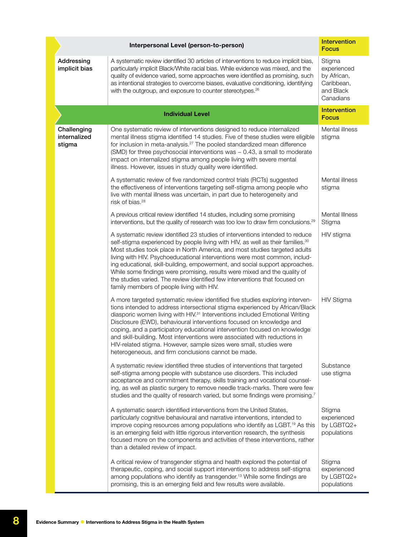|                                       | Interpersonal Level (person-to-person)                                                                                                                                                                                                                                                                                                                                                                                                                                                                                                                                                                                            | <b>Intervention</b><br><b>Focus</b>                                          |
|---------------------------------------|-----------------------------------------------------------------------------------------------------------------------------------------------------------------------------------------------------------------------------------------------------------------------------------------------------------------------------------------------------------------------------------------------------------------------------------------------------------------------------------------------------------------------------------------------------------------------------------------------------------------------------------|------------------------------------------------------------------------------|
| Addressing<br>implicit bias           | A systematic review identified 30 articles of interventions to reduce implicit bias,<br>particularly implicit Black/White racial bias. While evidence was mixed, and the<br>quality of evidence varied, some approaches were identified as promising, such<br>as intentional strategies to overcome biases, evaluative conditioning, identifying<br>with the outgroup, and exposure to counter stereotypes. <sup>26</sup>                                                                                                                                                                                                         | Stigma<br>experienced<br>by African,<br>Caribbean,<br>and Black<br>Canadians |
|                                       | <b>Individual Level</b>                                                                                                                                                                                                                                                                                                                                                                                                                                                                                                                                                                                                           | <b>Intervention</b><br><b>Focus</b>                                          |
| Challenging<br>internalized<br>stigma | One systematic review of interventions designed to reduce internalized<br>mental illness stigma identified 14 studies. Five of these studies were eligible<br>for inclusion in meta-analysis. <sup>27</sup> The pooled standardized mean difference<br>(SMD) for three psychosocial interventions was - 0.43, a small to moderate<br>impact on internalized stigma among people living with severe mental<br>illness. However, issues in study quality were identified.                                                                                                                                                           | Mental illness<br>stigma                                                     |
|                                       | A systematic review of five randomized control trials (RCTs) suggested<br>the effectiveness of interventions targeting self-stigma among people who<br>live with mental illness was uncertain, in part due to heterogeneity and<br>risk of bias. <sup>28</sup>                                                                                                                                                                                                                                                                                                                                                                    | Mental illness<br>stigma                                                     |
|                                       | A previous critical review identified 14 studies, including some promising<br>interventions, but the quality of research was too low to draw firm conclusions. <sup>29</sup>                                                                                                                                                                                                                                                                                                                                                                                                                                                      | Mental Illness<br>Stigma                                                     |
|                                       | A systematic review identified 23 studies of interventions intended to reduce<br>self-stigma experienced by people living with HIV, as well as their families. <sup>30</sup><br>Most studies took place in North America, and most studies targeted adults<br>living with HIV. Psychoeducational interventions were most common, includ-<br>ing educational, skill-building, empowerment, and social support approaches.<br>While some findings were promising, results were mixed and the quality of<br>the studies varied. The review identified few interventions that focused on<br>family members of people living with HIV. | HIV stigma                                                                   |
|                                       | A more targeted systematic review identified five studies exploring interven-<br>tions intended to address intersectional stigma experienced by African/Black<br>diasporic women living with HIV. <sup>31</sup> Interventions included Emotional Writing<br>Disclosure (EWD), behavioural interventions focused on knowledge and<br>coping, and a participatory educational intervention focused on knowledge<br>and skill-building. Most interventions were associated with reductions in<br>HIV-related stigma. However, sample sizes were small, studies were<br>heterogeneous, and firm conclusions cannot be made.           | <b>HIV Stigma</b>                                                            |
|                                       | A systematic review identified three studies of interventions that targeted<br>self-stigma among people with substance use disorders. This included<br>acceptance and commitment therapy, skills training and vocational counsel-<br>ing, as well as plastic surgery to remove needle track-marks. There were few<br>studies and the quality of research varied, but some findings were promising. <sup>7</sup>                                                                                                                                                                                                                   | Substance<br>use stigma                                                      |
|                                       | A systematic search identified interventions from the United States,<br>particularly cognitive behavioural and narrative interventions, intended to<br>improve coping resources among populations who identify as LGBT. <sup>19</sup> As this<br>is an emerging field with little rigorous intervention research, the synthesis<br>focused more on the components and activities of these interventions, rather<br>than a detailed review of impact.                                                                                                                                                                              | Stigma<br>experienced<br>by LGBTQ2+<br>populations                           |
|                                       | A critical review of transgender stigma and health explored the potential of<br>therapeutic, coping, and social support interventions to address self-stigma<br>among populations who identify as transgender. <sup>13</sup> While some findings are<br>promising, this is an emerging field and few results were available.                                                                                                                                                                                                                                                                                                      | Stigma<br>experienced<br>by LGBTQ2+<br>populations                           |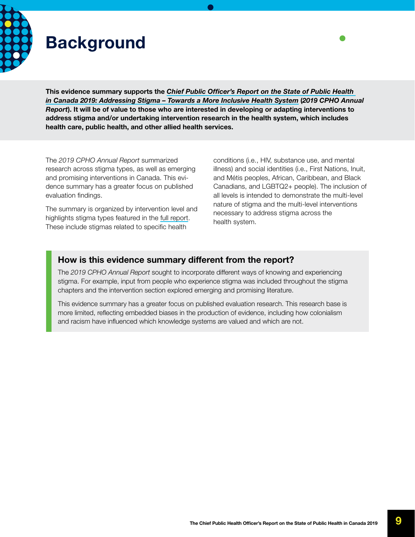<span id="page-8-0"></span>

## **Background**

This evidence summary supports the *[Chief Public Officer's Report on the State of Public Health](https://www.canada.ca/en/public-health/corporate/publications/chief-public-health-officer-reports-state-public-health-canada/addressing-stigma-toward-more-inclusive-health-system.html)  [in Canada 2019: Addressing Stigma – Towards a More Inclusive Health System](https://www.canada.ca/en/public-health/corporate/publications/chief-public-health-officer-reports-state-public-health-canada/addressing-stigma-toward-more-inclusive-health-system.html)* (*2019 CPHO Annual Report*). It will be of value to those who are interested in developing or adapting interventions to address stigma and/or undertaking intervention research in the health system, which includes health care, public health, and other allied health services.

The *2019 CPHO Annual Report* summarized research across stigma types, as well as emerging and promising interventions in Canada. This evidence summary has a greater focus on published evaluation findings.

The summary is organized by intervention level and highlights stigma types featured in the [full report.](https://www.canada.ca/en/public-health/corporate/publications/chief-public-health-officer-reports-state-public-health-canada/addressing-stigma-toward-more-inclusive-health-system.html) These include stigmas related to specific health

conditions (i.e., HIV, substance use, and mental illness) and social identities (i.e., First Nations, Inuit, and Métis peoples, African, Caribbean, and Black Canadians, and LGBTQ2+ people). The inclusion of all levels is intended to demonstrate the multi-level nature of stigma and the multi-level interventions necessary to address stigma across the health system.

#### How is this evidence summary different from the report?

The *2019 CPHO Annual Report* sought to incorporate different ways of knowing and experiencing stigma. For example, input from people who experience stigma was included throughout the stigma chapters and the intervention section explored emerging and promising literature.

This evidence summary has a greater focus on published evaluation research. This research base is more limited, reflecting embedded biases in the production of evidence, including how colonialism and racism have influenced which knowledge systems are valued and which are not.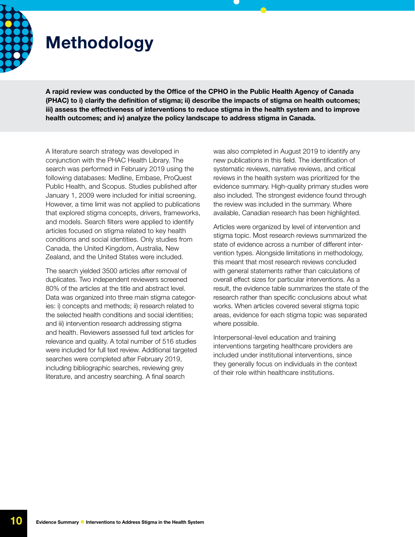<span id="page-9-0"></span>

## Methodology

A rapid review was conducted by the Office of the CPHO in the Public Health Agency of Canada (PHAC) to i) clarify the definition of stigma; ii) describe the impacts of stigma on health outcomes; iii) assess the effectiveness of interventions to reduce stigma in the health system and to improve health outcomes; and iv) analyze the policy landscape to address stigma in Canada.

A literature search strategy was developed in conjunction with the PHAC Health Library. The search was performed in February 2019 using the following databases: Medline, Embase, ProQuest Public Health, and Scopus. Studies published after January 1, 2009 were included for initial screening. However, a time limit was not applied to publications that explored stigma concepts, drivers, frameworks, and models. Search filters were applied to identify articles focused on stigma related to key health conditions and social identities. Only studies from Canada, the United Kingdom, Australia, New Zealand, and the United States were included.

The search yielded 3500 articles after removal of duplicates. Two independent reviewers screened 80% of the articles at the title and abstract level. Data was organized into three main stigma categories: i) concepts and methods; ii) research related to the selected health conditions and social identities; and iii) intervention research addressing stigma and health. Reviewers assessed full text articles for relevance and quality. A total number of 516 studies were included for full text review. Additional targeted searches were completed after February 2019, including bibliographic searches, reviewing grey literature, and ancestry searching. A final search

was also completed in August 2019 to identify any new publications in this field. The identification of systematic reviews, narrative reviews, and critical reviews in the health system was prioritized for the evidence summary. High-quality primary studies were also included. The strongest evidence found through the review was included in the summary. Where available, Canadian research has been highlighted.

Articles were organized by level of intervention and stigma topic. Most research reviews summarized the state of evidence across a number of different intervention types. Alongside limitations in methodology, this meant that most research reviews concluded with general statements rather than calculations of overall effect sizes for particular interventions. As a result, the evidence table summarizes the state of the research rather than specific conclusions about what works. When articles covered several stigma topic areas, evidence for each stigma topic was separated where possible.

Interpersonal-level education and training interventions targeting healthcare providers are included under institutional interventions, since they generally focus on individuals in the context of their role within healthcare institutions.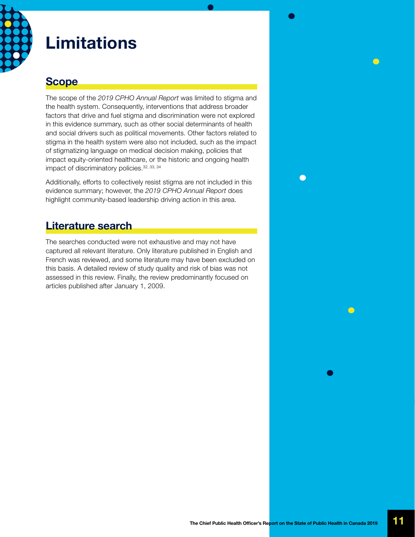<span id="page-10-0"></span>

### Limitations

### **Scope**

The scope of the *2019 CPHO Annual Report* was limited to stigma and the health system. Consequently, interventions that address broader factors that drive and fuel stigma and discrimination were not explored in this evidence summary, such as other social determinants of health and social drivers such as political movements. Other factors related to stigma in the health system were also not included, such as the impact of stigmatizing language on medical decision making, policies that impact equity-oriented healthcare, or the historic and ongoing health impact of discriminatory policies. 32, 33, 34

Additionally, efforts to collectively resist stigma are not included in this evidence summary; however, the *2019 CPHO Annual Report* does highlight community-based leadership driving action in this area.

### Literature search

The searches conducted were not exhaustive and may not have captured all relevant literature. Only literature published in English and French was reviewed, and some literature may have been excluded on this basis. A detailed review of study quality and risk of bias was not assessed in this review. Finally, the review predominantly focused on articles published after January 1, 2009.

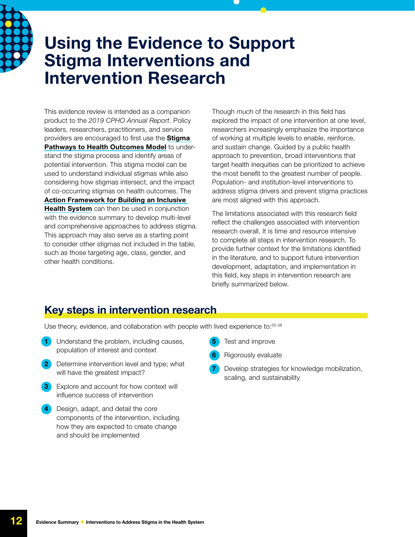<span id="page-11-0"></span>

### Using the Evidence to Support Stigma Interventions and Intervention Research

This evidence review is intended as a companion product to the *2019 CPHO Annual Report*. Policy leaders, researchers, practitioners, and service providers are encouraged to first use the **Stigma** [Pathways to Health Outcomes Model](https://www.canada.ca/en/public-health/corporate/publications/chief-public-health-officer-reports-state-public-health-canada/addressing-stigma-toward-more-inclusive-health-system.html#a4.2) to understand the stigma process and identify areas of potential intervention. This stigma model can be used to understand individual stigmas while also considering how stigmas intersect, and the impact of co-occurring stigmas on health outcomes. The [Action Framework for Building an Inclusive](https://www.canada.ca/en/public-health/corporate/publications/chief-public-health-officer-reports-state-public-health-canada/addressing-stigma-action-framework-infographic.html)  [Health System](https://www.canada.ca/en/public-health/corporate/publications/chief-public-health-officer-reports-state-public-health-canada/addressing-stigma-action-framework-infographic.html) can then be used in conjunction with the evidence summary to develop multi-level and comprehensive approaches to address stigma. This approach may also serve as a starting point to consider other stigmas not included in the table, such as those targeting age, class, gender, and other health conditions.

Though much of the research in this field has explored the impact of one intervention at one level, researchers increasingly emphasize the importance of working at multiple levels to enable, reinforce, and sustain change. Guided by a public health approach to prevention, broad interventions that target health inequities can be prioritized to achieve the most benefit to the greatest number of people. Population- and institution-level interventions to address stigma drivers and prevent stigma practices are most aligned with this approach.

The limitations associated with this research field reflect the challenges associated with intervention research overall. It is time and resource intensive to complete all steps in intervention research. To provide further context for the limitations identified in the literature, and to support future intervention development, adaptation, and implementation in this field, key steps in intervention research are briefly summarized below.

### Key steps in intervention research

Use theory, evidence, and collaboration with people with lived experience to: 35-38

- Understand the problem, including causes, population of interest and context
- Determine intervention level and type; what will have the greatest impact?
- Explore and account for how context will influence success of intervention
- Design, adapt, and detail the core components of the intervention, including how they are expected to create change and should be implemented
- Test and improve
- Rigorously evaluate
- Develop strategies for knowledge mobilization, scaling, and sustainability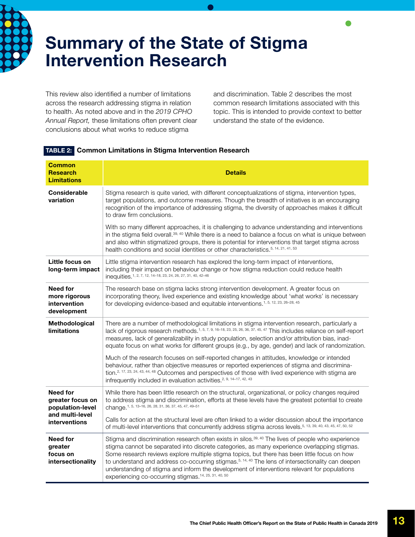<span id="page-12-0"></span>

## Summary of the State of Stigma Intervention Research

This review also identified a number of limitations across the research addressing stigma in relation to health. As noted above and in the *2019 CPHO Annual Report,* these limitations often prevent clear conclusions about what works to reduce stigma

and discrimination. Table 2 describes the most common research limitations associated with this topic. This is intended to provide context to better understand the state of the evidence.

| <b>Common</b><br><b>Research</b><br><b>Limitations</b>                                      | <b>Details</b>                                                                                                                                                                                                                                                                                                                                                                                                                                                                                                                                                                                                                             |
|---------------------------------------------------------------------------------------------|--------------------------------------------------------------------------------------------------------------------------------------------------------------------------------------------------------------------------------------------------------------------------------------------------------------------------------------------------------------------------------------------------------------------------------------------------------------------------------------------------------------------------------------------------------------------------------------------------------------------------------------------|
| <b>Considerable</b><br>variation                                                            | Stigma research is quite varied, with different conceptualizations of stigma, intervention types,<br>target populations, and outcome measures. Though the breadth of initiatives is an encouraging<br>recognition of the importance of addressing stigma, the diversity of approaches makes it difficult<br>to draw firm conclusions.                                                                                                                                                                                                                                                                                                      |
|                                                                                             | With so many different approaches, it is challenging to advance understanding and interventions<br>in the stigma field overall. <sup>39, 40</sup> While there is a need to balance a focus on what is unique between<br>and also within stigmatized groups, there is potential for interventions that target stigma across<br>health conditions and social identities or other characteristics. <sup>5, 14, 21, 41, 53</sup>                                                                                                                                                                                                               |
| Little focus on<br>long-term impact                                                         | Little stigma intervention research has explored the long-term impact of interventions,<br>including their impact on behaviour change or how stigma reduction could reduce health<br>inequities. <sup>1, 2, 7, 12, 14-18, 23, 24, 26, 27, 31, 40, 42-46</sup>                                                                                                                                                                                                                                                                                                                                                                              |
| Need for<br>more rigorous<br>intervention<br>development                                    | The research base on stigma lacks strong intervention development. A greater focus on<br>incorporating theory, lived experience and existing knowledge about 'what works' is necessary<br>for developing evidence-based and equitable interventions. <sup>1, 5, 12, 23, 26-28, 45</sup>                                                                                                                                                                                                                                                                                                                                                    |
| Methodological<br><b>limitations</b>                                                        | There are a number of methodological limitations in stigma intervention research, particularly a<br>lack of rigorous research methods. <sup>1, 5, 7, 9, 16-18, 23, 25, 26, 36, 37, 45, 47 This includes reliance on self-report</sup><br>measures, lack of generalizability in study population, selection and/or attribution bias, inad-<br>equate focus on what works for different groups (e.g., by age, gender) and lack of randomization.<br>Much of the research focuses on self-reported changes in attitudes, knowledge or intended<br>behaviour, rather than objective measures or reported experiences of stigma and discrimina- |
|                                                                                             | tion. <sup>2, 17, 23, 24, 43, 44, 48</sup> Outcomes and perspectives of those with lived experience with stigma are<br>infrequently included in evaluation activities. <sup>2, 9, 14-17, 42, 43</sup>                                                                                                                                                                                                                                                                                                                                                                                                                                      |
| Need for<br>greater focus on<br>population-level<br>and multi-level<br><b>interventions</b> | While there has been little research on the structural, organizational, or policy changes required<br>to address stigma and discrimination, efforts at these levels have the greatest potential to create<br>change. <sup>1, 5, 13-16, 26, 28, 31, 36, 37, 45, 47, 49-51</sup>                                                                                                                                                                                                                                                                                                                                                             |
|                                                                                             | Calls for action at the structural level are often linked to a wider discussion about the importance<br>of multi-level interventions that concurrently address stigma across levels. <sup>5, 13, 39, 40, 43, 45, 47, 50, 52</sup>                                                                                                                                                                                                                                                                                                                                                                                                          |
| <b>Need for</b><br>greater<br>focus on<br>intersectionality                                 | Stigma and discrimination research often exists in silos. <sup>39, 40</sup> The lives of people who experience<br>stigma cannot be separated into discrete categories, as many experience overlapping stigmas.<br>Some research reviews explore multiple stigma topics, but there has been little focus on how<br>to understand and address co-occurring stigmas. <sup>5, 14, 40</sup> The lens of intersectionality can deepen<br>understanding of stigma and inform the development of interventions relevant for populations<br>experiencing co-occurring stigmas. <sup>14, 25, 31, 40, 50</sup>                                        |

#### TABLE 2: Common Limitations in Stigma Intervention Research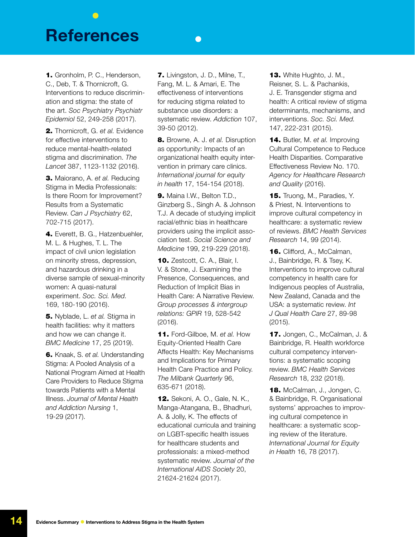### <span id="page-13-0"></span>**References**

1. Gronholm, P. C., Henderson, C., Deb, T. & Thornicroft, G. Interventions to reduce discrimination and stigma: the state of the art. *Soc Psychiatry Psychiatr Epidemiol* 52, 249-258 (2017).

2. Thornicroft, G. *et al.* Evidence for effective interventions to reduce mental-health-related stigma and discrimination. *The Lancet* 387, 1123-1132 (2016).

3. Maiorano, A. *et al.* Reducing Stigma in Media Professionals: Is there Room for Improvement? Results from a Systematic Review. *Can J Psychiatry* 62, 702-715 (2017).

4. Everett, B. G., Hatzenbuehler, M. L. & Hughes, T. L. The impact of civil union legislation on minority stress, depression, and hazardous drinking in a diverse sample of sexual-minority women: A quasi-natural experiment. *Soc. Sci. Med.* 169, 180-190 (2016).

5. Nyblade, L. *et al.* Stigma in health facilities: why it matters and how we can change it. *BMC Medicine* 17, 25 (2019).

6. Knaak, S. *et al.* Understanding Stigma: A Pooled Analysis of a National Program Aimed at Health Care Providers to Reduce Stigma towards Patients with a Mental Illness. *Journal of Mental Health and Addiction Nursing* 1, 19-29 (2017).

7. Livingston, J. D., Milne, T., Fang, M. L. & Amari, E. The effectiveness of interventions for reducing stigma related to substance use disorders: a systematic review. *Addiction* 107, 39-50 (2012).

 $\bullet$ 

8. Browne, A. J. *et al.* Disruption as opportunity: Impacts of an organizational health equity intervention in primary care clinics. *International journal for equity in health* 17, 154-154 (2018).

9. Maina I.W., Belton T.D., Ginzberg S., Singh A. & Johnson T.J. A decade of studying implicit racial/ethnic bias in healthcare providers using the implicit association test. *Social Science and Medicine* 199, 219-229 (2018).

10. Zestcott, C. A., Blair, I. V. & Stone, J. Examining the Presence, Consequences, and Reduction of Implicit Bias in Health Care: A Narrative Review. *Group processes & intergroup relations: GPIR* 19, 528-542 (2016).

11. Ford-Gilboe, M. *et al.* How Equity-Oriented Health Care Affects Health: Key Mechanisms and Implications for Primary Health Care Practice and Policy. *The Milbank Quarterly* 96, 635-671 (2018).

12. Sekoni, A. O., Gale, N. K., Manga-Atangana, B., Bhadhuri, A. & Jolly, K. The effects of educational curricula and training on LGBT-specific health issues for healthcare students and professionals: a mixed-method systematic review. *Journal of the International AIDS Society* 20, 21624-21624 (2017).

**13.** White Hughto, J. M., Reisner, S. L. & Pachankis, J. E. Transgender stigma and health: A critical review of stigma determinants, mechanisms, and interventions. *Soc. Sci. Med.*  147, 222-231 (2015).

14. Butler, M. *et al.* Improving Cultural Competence to Reduce Health Disparities. Comparative Effectiveness Review No. 170. *Agency for Healthcare Research and Quality* (2016).

15. Truong, M., Paradies, Y. & Priest, N. Interventions to improve cultural competency in healthcare: a systematic review of reviews. *BMC Health Services Research* 14, 99 (2014).

16. Clifford, A., McCalman, J., Bainbridge, R. & Tsey, K. Interventions to improve cultural competency in health care for Indigenous peoples of Australia, New Zealand, Canada and the USA: a systematic review. *Int J Qual Health Care* 27, 89-98 (2015).

17. Jongen, C., McCalman, J. & Bainbridge, R. Health workforce cultural competency interventions: a systematic scoping review. *BMC Health Services Research* 18, 232 (2018).

18. McCalman, J., Jongen, C. & Bainbridge, R. Organisational systems' approaches to improving cultural competence in healthcare: a systematic scoping review of the literature. *International Journal for Equity in Health* 16, 78 (2017).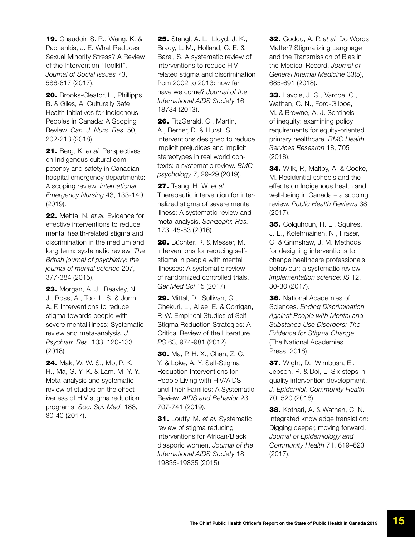**19.** Chaudoir, S. R., Wang, K. & Pachankis, J. E. What Reduces Sexual Minority Stress? A Review of the Intervention "Toolkit". *Journal of Social Issues* 73, 586-617 (2017).

20. Brooks-Cleator, L., Phillipps, B. & Giles, A. Culturally Safe Health Initiatives for Indigenous Peoples in Canada: A Scoping Review. *Can. J. Nurs. Res.* 50, 202-213 (2018).

21. Berg, K. *et al.* Perspectives on Indigenous cultural competency and safety in Canadian hospital emergency departments: A scoping review. *International Emergency Nursing* 43, 133-140 (2019).

22. Mehta, N. *et al.* Evidence for effective interventions to reduce mental health-related stigma and discrimination in the medium and long term: systematic review. *The British journal of psychiatry: the journal of mental science* 207, 377-384 (2015).

23. Morgan, A. J., Reavley, N. J., Ross, A., Too, L. S. & Jorm, A. F. Interventions to reduce stigma towards people with severe mental illness: Systematic review and meta-analysis. *J. Psychiatr. Res.* 103, 120-133 (2018).

24. Mak, W. W. S., Mo, P. K. H., Ma, G. Y. K. & Lam, M. Y. Y. Meta-analysis and systematic review of studies on the effectiveness of HIV stigma reduction programs. *Soc. Sci. Med.* 188, 30-40 (2017).

**25.** Stangl, A. L., Lloyd, J. K., Brady, L. M., Holland, C. E. & Baral, S. A systematic review of interventions to reduce HIVrelated stigma and discrimination from 2002 to 2013: how far have we come? *Journal of the International AIDS Society* 16, 18734 (2013).

26. FitzGerald, C., Martin, A., Berner, D. & Hurst, S. Interventions designed to reduce implicit prejudices and implicit stereotypes in real world contexts: a systematic review. *BMC psychology* 7, 29-29 (2019).

27. Tsang, H. W. *et al.*  Therapeutic intervention for internalized stigma of severe mental illness: A systematic review and meta-analysis. *Schizophr. Res.*  173, 45-53 (2016).

28. Büchter, R. & Messer, M. Interventions for reducing selfstigma in people with mental illnesses: A systematic review of randomized controlled trials. *Ger Med Sci* 15 (2017).

29. Mittal, D., Sullivan, G., Chekuri, L., Allee, E. & Corrigan, P. W. Empirical Studies of Self-Stigma Reduction Strategies: A Critical Review of the Literature. *PS* 63, 974-981 (2012).

30. Ma, P. H. X., Chan, Z. C. Y. & Loke, A. Y. Self-Stigma Reduction Interventions for People Living with HIV/AIDS and Their Families: A Systematic Review. *AIDS and Behavior* 23, 707-741 (2019).

31. Loutfy, M. *et al.* Systematic review of stigma reducing interventions for African/Black diasporic women. *Journal of the International AIDS Society* 18, 19835-19835 (2015).

32. Goddu, A. P. *et al.* Do Words Matter? Stigmatizing Language and the Transmission of Bias in the Medical Record. *Journal of General Internal Medicine* 33(5), 685-691 (2018).

**33.** Lavoie, J. G., Varcoe, C., Wathen, C. N., Ford-Gilboe, M. & Browne, A. J. Sentinels of inequity: examining policy requirements for equity-oriented primary healthcare. *BMC Health Services Research* 18, 705 (2018).

34. Wilk, P., Maltby, A. & Cooke, M. Residential schools and the effects on Indigenous health and well-being in Canada – a scoping review. *Public Health Reviews* 38 (2017).

35. Colquhoun, H. L., Squires, J. E., Kolehmainen, N., Fraser, C. & Grimshaw, J. M. Methods for designing interventions to change healthcare professionals' behaviour: a systematic review. *Implementation science: IS* 12, 30-30 (2017).

**36.** National Academies of Sciences. *Ending Discrimination Against People with Mental and Substance Use Disorders: The Evidence for Stigma Change* (The National Academies Press, 2016).

37. Wight, D., Wimbush, E., Jepson, R. & Doi, L. Six steps in quality intervention development. *J. Epidemiol. Community Health*  70, 520 (2016).

38. Kothari, A. & Wathen, C. N. Integrated knowledge translation: Digging deeper, moving forward. *Journal of Epidemiology and Community Health* 71, 619–623 (2017).